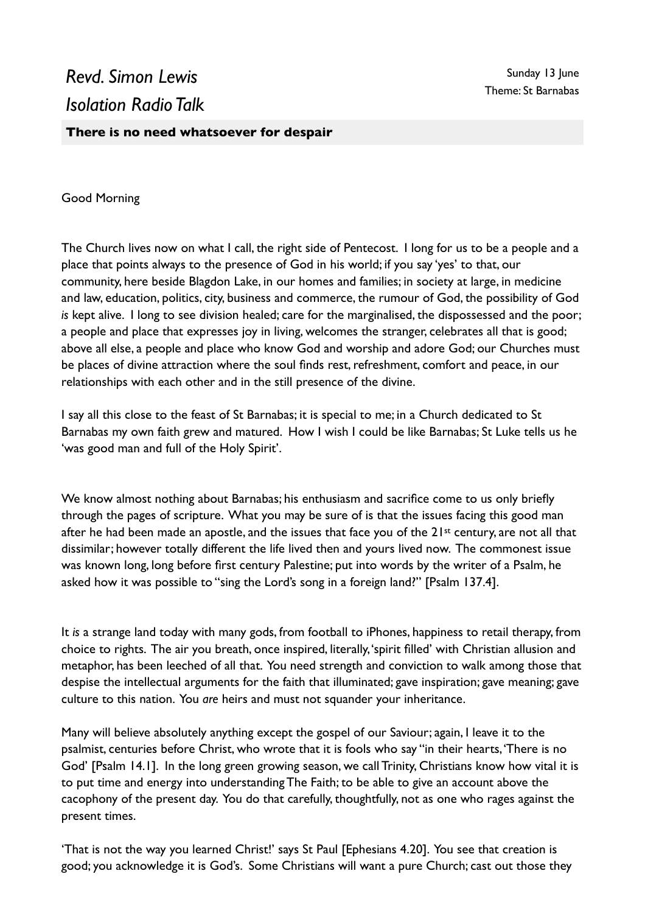# *Revd. Simon Lewis Isolation Radio Talk*

## **There is no need whatsoever for despair**

#### Good Morning

The Church lives now on what I call, the right side of Pentecost. I long for us to be a people and a place that points always to the presence of God in his world; if you say 'yes' to that, our community, here beside Blagdon Lake, in our homes and families; in society at large, in medicine and law, education, politics, city, business and commerce, the rumour of God, the possibility of God *is* kept alive. I long to see division healed; care for the marginalised, the dispossessed and the poor; a people and place that expresses joy in living, welcomes the stranger, celebrates all that is good; above all else, a people and place who know God and worship and adore God; our Churches must be places of divine attraction where the soul finds rest, refreshment, comfort and peace, in our relationships with each other and in the still presence of the divine.

I say all this close to the feast of St Barnabas; it is special to me; in a Church dedicated to St Barnabas my own faith grew and matured. How I wish I could be like Barnabas; St Luke tells us he 'was good man and full of the Holy Spirit'.

We know almost nothing about Barnabas; his enthusiasm and sacrifice come to us only briefly through the pages of scripture. What you may be sure of is that the issues facing this good man after he had been made an apostle, and the issues that face you of the 21<sup>st</sup> century, are not all that dissimilar; however totally different the life lived then and yours lived now. The commonest issue was known long, long before first century Palestine; put into words by the writer of a Psalm, he asked how it was possible to "sing the Lord's song in a foreign land?" [Psalm 137.4].

It *is* a strange land today with many gods, from football to iPhones, happiness to retail therapy, from choice to rights. The air you breath, once inspired, literally, 'spirit filled' with Christian allusion and metaphor, has been leeched of all that. You need strength and conviction to walk among those that despise the intellectual arguments for the faith that illuminated; gave inspiration; gave meaning; gave culture to this nation. You *are* heirs and must not squander your inheritance.

Many will believe absolutely anything except the gospel of our Saviour; again, I leave it to the psalmist, centuries before Christ, who wrote that it is fools who say "in their hearts, 'There is no God' [Psalm 14.1]. In the long green growing season, we call Trinity, Christians know how vital it is to put time and energy into understanding The Faith; to be able to give an account above the cacophony of the present day. You do that carefully, thoughtfully, not as one who rages against the present times.

'That is not the way you learned Christ!' says St Paul [Ephesians 4.20]. You see that creation is good; you acknowledge it is God's. Some Christians will want a pure Church; cast out those they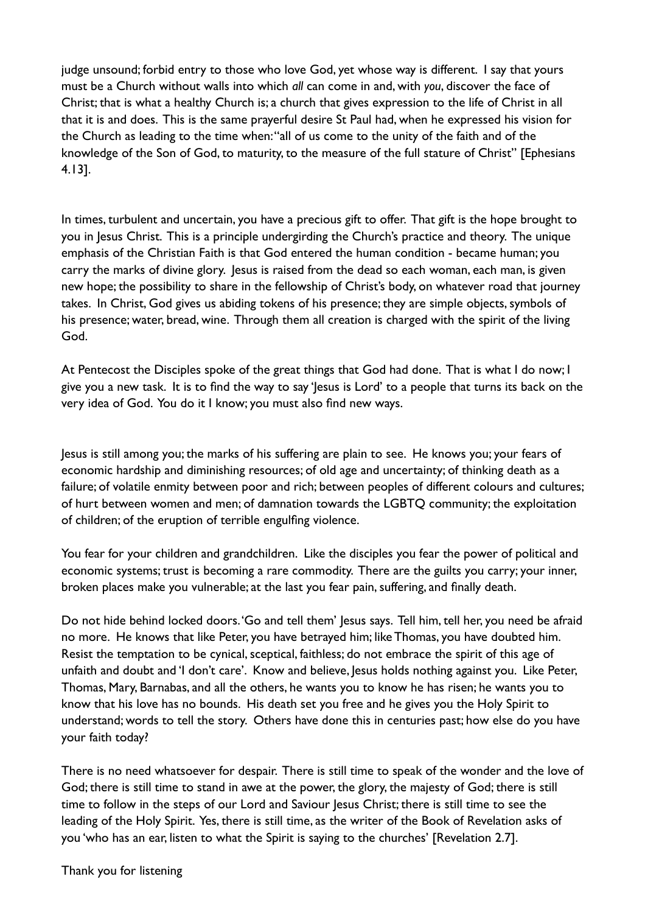judge unsound; forbid entry to those who love God, yet whose way is different. I say that yours must be a Church without walls into which *all* can come in and, with *you*, discover the face of Christ; that is what a healthy Church is; a church that gives expression to the life of Christ in all that it is and does. This is the same prayerful desire St Paul had, when he expressed his vision for the Church as leading to the time when: "all of us come to the unity of the faith and of the knowledge of the Son of God, to maturity, to the measure of the full stature of Christ" [Ephesians 4.13].

In times, turbulent and uncertain, you have a precious gift to offer. That gift is the hope brought to you in Jesus Christ. This is a principle undergirding the Church's practice and theory. The unique emphasis of the Christian Faith is that God entered the human condition - became human; you carry the marks of divine glory. Jesus is raised from the dead so each woman, each man, is given new hope; the possibility to share in the fellowship of Christ's body, on whatever road that journey takes. In Christ, God gives us abiding tokens of his presence; they are simple objects, symbols of his presence; water, bread, wine. Through them all creation is charged with the spirit of the living God.

At Pentecost the Disciples spoke of the great things that God had done. That is what I do now; I give you a new task. It is to find the way to say 'Jesus is Lord' to a people that turns its back on the very idea of God. You do it I know; you must also find new ways.

Jesus is still among you; the marks of his suffering are plain to see. He knows you; your fears of economic hardship and diminishing resources; of old age and uncertainty; of thinking death as a failure; of volatile enmity between poor and rich; between peoples of different colours and cultures; of hurt between women and men; of damnation towards the LGBTQ community; the exploitation of children; of the eruption of terrible engulfing violence.

You fear for your children and grandchildren. Like the disciples you fear the power of political and economic systems; trust is becoming a rare commodity. There are the guilts you carry; your inner, broken places make you vulnerable; at the last you fear pain, suffering, and finally death.

Do not hide behind locked doors. 'Go and tell them' Jesus says. Tell him, tell her, you need be afraid no more. He knows that like Peter, you have betrayed him; like Thomas, you have doubted him. Resist the temptation to be cynical, sceptical, faithless; do not embrace the spirit of this age of unfaith and doubt and 'I don't care'. Know and believe, Jesus holds nothing against you. Like Peter, Thomas, Mary, Barnabas, and all the others, he wants you to know he has risen; he wants you to know that his love has no bounds. His death set you free and he gives you the Holy Spirit to understand; words to tell the story. Others have done this in centuries past; how else do you have your faith today?

There is no need whatsoever for despair. There is still time to speak of the wonder and the love of God; there is still time to stand in awe at the power, the glory, the majesty of God; there is still time to follow in the steps of our Lord and Saviour Jesus Christ; there is still time to see the leading of the Holy Spirit. Yes, there is still time, as the writer of the Book of Revelation asks of you 'who has an ear, listen to what the Spirit is saying to the churches' [Revelation 2.7].

Thank you for listening